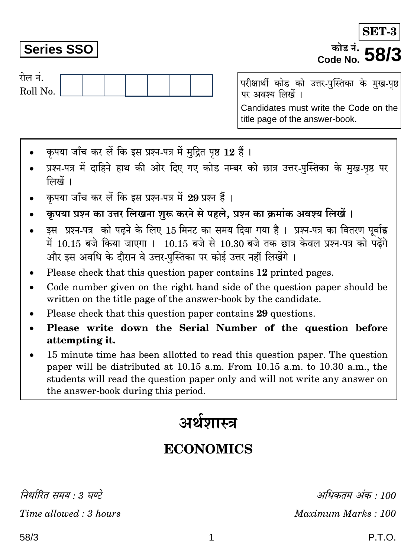निर्धारित समय : 3 घण्टे Time allowed: 3 hours

## **Series SSO**

रोल नं.

Roll No.

परीक्षार्थी कोड को उत्तर-पुस्तिका के मुख-पृष्ठ पर अवश्य लिखें । Candidates must write the Code on the title page of the answer-book.

- कपया जाँच कर लें कि इस प्रश्न-पत्र में मुद्रित पृष्ठ 12 हैं।
- प्रश्न-पत्र में दाहिने हाथ की ओर दिए गए कोड नम्बर को छात्र उत्तर-पुस्तिका के मुख-पृष्ठ पर लिखें ।
- कपया जाँच कर लें कि इस प्रश्न-पत्र में 29 प्रश्न हैं।
- कृपया प्रश्न का उत्तर लिखना शुरू करने से पहले, प्रश्न का क्रमांक अवश्य लिखें ।
- इस प्रश्न-पत्र को पढ़ने के लिए 15 मिनट का समय दिया गया है। प्रश्न-पत्र का वितरण पर्वाह्न में 10.15 बजे किया जाएगा । 10.15 बजे से 10.30 बजे तक छात्र केवल प्रश्न-पत्र को पढ़ेंगे और इस अवधि के दौरान वे उत्तर-पस्तिका पर कोई उत्तर नहीं लिखेंगे ।
- Please check that this question paper contains 12 printed pages.
- Code number given on the right hand side of the question paper should be  $\bullet$ written on the title page of the answer-book by the candidate.
- Please check that this question paper contains 29 questions.
- Please write down the Serial Number of the question before attempting it.
- 15 minute time has been allotted to read this question paper. The question paper will be distributed at 10.15 a.m. From 10.15 a.m. to 10.30 a.m., the students will read the question paper only and will not write any answer on the answer-book during this period.

# अर्थशास्त्र

## **ECONOMICS**

अधिकतम अंक : 100 Maximum Marks: 100

## P.T.O.

SET-

## कोड नं. *∎* Code No.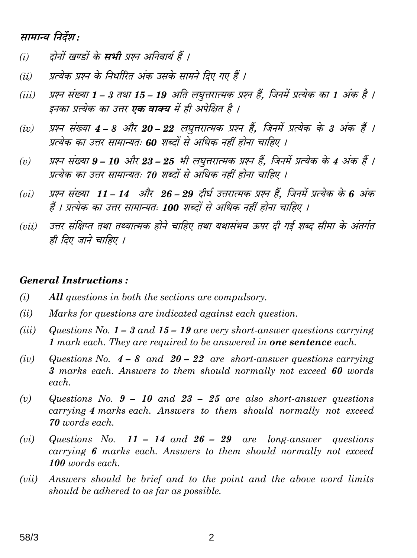## सामान्य निर्देश:

- दोनों खण्डों के **सभी** प्रश्न अनिवार्य हैं ।  $(i)$
- प्रत्येक प्रश्न के निर्धारित अंक उसके सामने दिए गए हैं ।  $(ii)$
- प्रश्न संख्या 1 3 तथा 15 19 अति लघूत्तरात्मक प्रश्न हैं. जिनमें प्रत्येक का 1 अंक है ।  $(iii)$ इनका प्रत्येक का उत्तर **एक वाक्य** में ही अपेक्षित है ।
- प्रश्न संख्या 4 8 और 20 22 लघुत्तरात्मक प्रश्न हैं, जिनमें प्रत्येक के 3 अंक हैं ।  $(iv)$ प्रत्येक का उत्तर सामान्यतः 60 शब्दों से अधिक नहीं होना चाहिए ।
- प्रश्न संख्या 9 10 और 23 25 भी लघुत्तरात्मक प्रश्न हैं, जिनमें प्रत्येक के 4 अंक हैं ।  $(v)$ प्रत्येक का उत्तर सामान्यतः 70 शब्दों से अधिक नहीं होना चाहिए ।
- प्रश्न संख्या 11 14 और 26 29 दीर्घ उत्तरात्मक प्रश्न हैं, जिनमें प्रत्येक के 6 अंक  $(vi)$ हैं । प्रत्येक का उत्तर सामान्यतः 100 शब्दों से अधिक नहीं होना चाहिए ।
- उत्तर संक्षिप्त तथा तथ्यात्मक होने चाहिए तथा यथासंभव ऊपर दी गई शब्द सीमा के अंतर्गत  $(vii)$ ही दिए जाने चाहिए ।

#### **General Instructions:**

- $(i)$ All questions in both the sections are compulsory.
- $(ii)$ Marks for questions are indicated against each question.
- $(iii)$ Questions No.  $1 - 3$  and  $15 - 19$  are very short-answer questions carrying 1 mark each. They are required to be answered in **one sentence** each.
- Questions No.  $4 8$  and  $20 22$  are short-answer questions carrying  $(iv)$ 3 marks each. Answers to them should normally not exceed 60 words each.
- $(v)$ Questions No.  $9 - 10$  and  $23 - 25$  are also short-answer questions carrying 4 marks each. Answers to them should normally not exceed 70 words each.
- Questions No. 11 14 and  $26 29$  are long-answer questions  $(vi)$ carrying 6 marks each. Answers to them should normally not exceed 100 words each.
- $(vii)$ Answers should be brief and to the point and the above word limits should be adhered to as far as possible.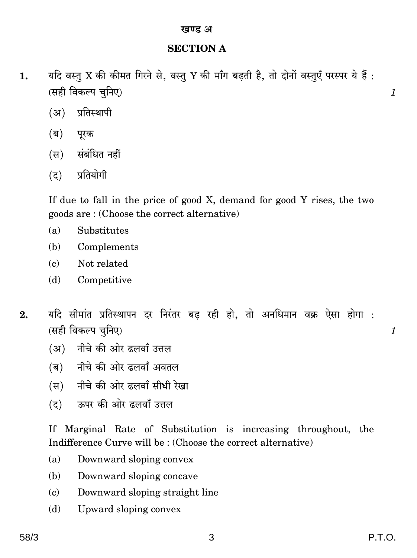### **SECTION A**

- यदि वस्तु X की कीमत गिरने से, वस्तु Y की माँग बढ़ती है, तो दोनों वस्तुएँ परस्पर ये हैं: 1. (सही विकल्प चुनिए)
	- (अ) प्रतिस्थापी
	- (ब) पूरक
	- (स) संबंधित नहीं
	- प्रतियोगी  $(5)$

If due to fall in the price of good X, demand for good Y rises, the two goods are: (Choose the correct alternative)

- $(a)$ Substitutes
- (b) Complements
- Not related  $\epsilon$
- Competitive (d)
- यदि सीमांत प्रतिस्थापन दर निरंतर बढ रही हो, तो अनधिमान वक्र ऐसा होगा :  $2.$ (सही विकल्प चुनिए)
	- (अ) नीचे की ओर ढलवाँ उत्तल
	- (ब) नीचे की ओर दलवाँ अवतल
	- (स) नीचे की ओर ढलवाँ सीधी रेखा
	- (द) ऊपर की ओर ढलवाँ उत्तल

If Marginal Rate of Substitution is increasing throughout, the Indifference Curve will be: (Choose the correct alternative)

- Downward sloping convex  $(a)$
- Downward sloping concave (b)
- Downward sloping straight line  $(c)$
- Upward sloping convex (d)

 $\mathcal{I}_{\mathcal{L}}$ 

 $\mathcal{I}_{\mathcal{L}}$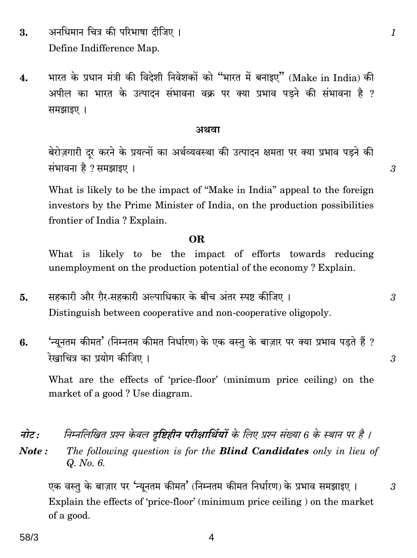- अनधिमान चित्र की परिभाषा दीजिए । 3. Define Indifference Map.
- भारत के प्रधान मंत्री की विदेशी निवेशकों को "भारत में बनाइए" (Make in India) की  $\overline{4}$ . अपील का भारत के उत्पादन संभावना वक्र पर क्या प्रभाव पडने की संभावना है ? समझाइए ।

#### अथवा

बेरोज़गारी दूर करने के प्रयत्नों का अर्थव्यवस्था की उत्पादन क्षमता पर क्या प्रभाव पड़ने की संभावना है ? समझाइए ।

What is likely to be the impact of "Make in India" appeal to the foreign investors by the Prime Minister of India, on the production possibilities frontier of India? Explain.

#### OR.

What is likely to be the impact of efforts towards reducing unemployment on the production potential of the economy? Explain.

- सहकारी और ग़ैर-सहकारी अल्पाधिकार के बीच अंतर स्पष्ट कीजिए। 5. Distinguish between cooperative and non-cooperative oligopoly.
- 'न्युनतम कीमत' (निम्नतम कीमत निर्धारण) के एक वस्तु के बाज़ार पर क्या प्रभाव पडते हैं ? 6. रेखाचित्र का प्रयोग कीजिए।

What are the effects of 'price-floor' (minimum price ceiling) on the market of a good? Use diagram.

- निम्नलिखित प्रश्न केवल दृष्टिहीन परीक्षार्थियों के लिए प्रश्न संख्या 6 के स्थान पर है । नोट :
- The following question is for the **Blind Candidates** only in lieu of Note: Q. No. 6.

एक वस्तु के बाज़ार पर 'न्यूनतम कीमत' (निम्नतम कीमत निर्धारण) के प्रभाव समझाइए । Explain the effects of 'price-floor' (minimum price ceiling) on the market of a good.

4

 $\mathcal{S}$ 

3

 $\mathcal{S}$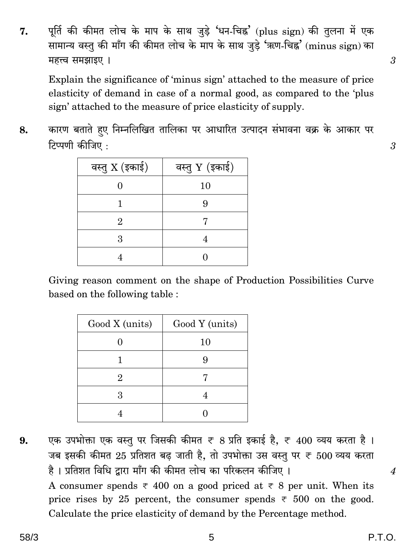पूर्ति की कीमत लोच के माप के साथ जुड़े 'धन-चिह्न' (plus sign) की तुलना में एक 7. सामान्य वस्तु की माँग की कीमत लोच के माप के साथ जुड़े 'ऋण-चिह्न' (minus sign) का महत्त्व समझाइए ।

Explain the significance of 'minus sign' attached to the measure of price elasticity of demand in case of a normal good, as compared to the 'plus sign' attached to the measure of price elasticity of supply.

कारण बताते हए निम्नलिखित तालिका पर आधारित उत्पादन संभावना वक्र के आकार पर 8. टिप्पणी कीजिए:

| वस्तु $X$ (इकाई) | वस्तु Y (इकाई) |
|------------------|----------------|
|                  | 10             |
|                  | ч              |
| 2                |                |
| З                |                |
|                  |                |

Giving reason comment on the shape of Production Possibilities Curve based on the following table:

| Good X (units) | Good Y (units) |
|----------------|----------------|
|                | 10             |
|                |                |
|                |                |
| З              |                |
|                |                |

एक उपभोक्ता एक वस्तू पर जिसकी कीमत ₹ 8 प्रति इकाई है, ₹ 400 व्यय करता है। 9. जब इसकी कीमत 25 प्रतिशत बढ़ जाती है, तो उपभोक्ता उस वस्तु पर ₹ 500 व्यय करता है। प्रतिशत विधि द्वारा माँग की कीमत लोच का परिकलन कीजिए।

A consumer spends  $\overline{\tau}$  400 on a good priced at  $\overline{\tau}$  8 per unit. When its price rises by 25 percent, the consumer spends  $\overline{\tau}$  500 on the good. Calculate the price elasticity of demand by the Percentage method.

 $\overline{4}$ 

3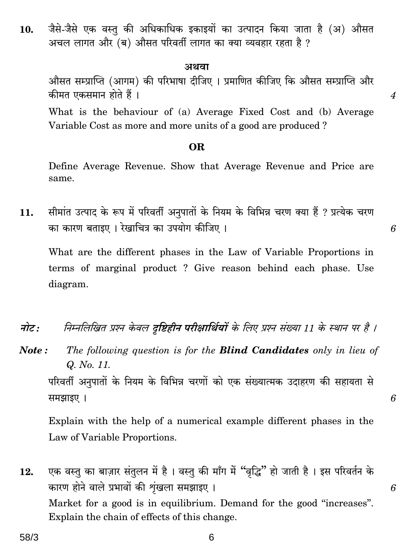जैसे-जैसे एक वस्त की अधिकाधिक इकाइयों का उत्पादन किया जाता है (अ) औसत  $10.$ अचल लागत और (ब) औसत परिवर्ती लागत का क्या व्यवहार रहता है ?

#### अथवा

औसत सम्प्राप्ति (आगम) की परिभाषा दीजिए । प्रमाणित कीजिए कि औसत सम्प्राप्ति और कीमत एकसमान होते हैं।

 $\boldsymbol{4}$ 

6

6

6

What is the behaviour of (a) Average Fixed Cost and (b) Average Variable Cost as more and more units of a good are produced?

#### OR.

Define Average Revenue. Show that Average Revenue and Price are same.

सीमांत उत्पाद के रूप में परिवर्ती अनुपातों के नियम के विभिन्न चरण क्या हैं ? प्रत्येक चरण 11. का कारण बताइए । रेखाचित्र का उपयोग कीजिए ।

What are the different phases in the Law of Variable Proportions in terms of marginal product? Give reason behind each phase. Use diagram.

- निम्नलिखित प्रश्न केवल दृष्टिहीन परीक्षार्थियों के लिए प्रश्न संख्या 11 के स्थान पर है । नोट:
- Note: The following question is for the **Blind Candidates** only in lieu of Q. No. 11. परिवर्ती अनुपातों के नियम के विभिन्न चरणों को एक संख्यात्मक उदाहरण की सहायता से समझाइए।

Explain with the help of a numerical example different phases in the Law of Variable Proportions.

एक वस्तु का बाज़ार संतुलन में है। वस्तु की माँग में "वृद्धि" हो जाती है। इस परिवर्तन के 12. कारण होने वाले प्रभावों की शृंखला समझाइए। Market for a good is in equilibrium. Demand for the good "increases". Explain the chain of effects of this change.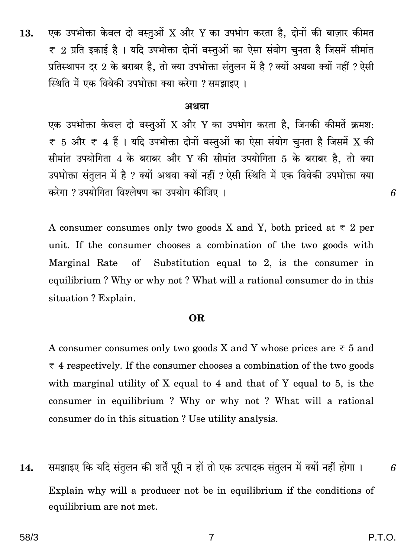#### अथवा

एक उपभोक्ता केवल दो वस्तुओं X और Y का उपभोग करता है, जिनकी कीमतें क्रमश:  $\overline{\tau}$  5 और  $\overline{\tau}$  4 हैं । यदि उपभोक्ता दोनों वस्तुओं का ऐसा संयोग चनता है जिसमें X की सीमांत उपयोगिता 4 के बराबर और Y की सीमांत उपयोगिता 5 के बराबर है, तो क्या उपभोक्ता संतुलन में है ? क्यों अथवा क्यों नहीं ? ऐसी स्थिति में एक विवेकी उपभोक्ता क्या करेगा ? उपयोगिता विश्लेषण का उपयोग कीजिए ।

A consumer consumes only two goods X and Y, both priced at  $\overline{\tau}$  2 per unit. If the consumer chooses a combination of the two goods with Substitution equal to 2, is the consumer in Marginal Rate  $\sigma$ equilibrium? Why or why not? What will a rational consumer do in this situation? Explain.

#### **OR**

A consumer consumes only two goods X and Y whose prices are  $\overline{\tau}$  5 and  $\overline{\tau}$  4 respectively. If the consumer chooses a combination of the two goods with marginal utility of X equal to 4 and that of Y equal to 5, is the consumer in equilibrium? Why or why not? What will a rational consumer do in this situation? Use utility analysis.

समझाइए कि यदि संतुलन की शर्तें पूरी न हों तो एक उत्पादक संतुलन में क्यों नहीं होगा । 14. Explain why will a producer not be in equilibrium if the conditions of equilibrium are not met.

6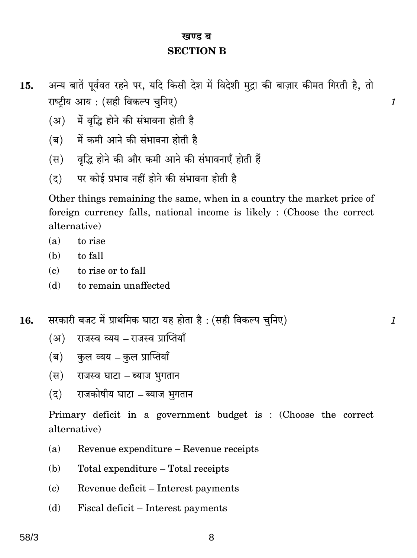## खण्ड ब **SECTION B**

अन्य बातें पूर्ववत रहने पर, यदि किसी देश में विदेशी मुद्रा की बाज़ार कीमत गिरती है, तो 15. राष्ट्रीय आय: (सही विकल्प चुनिए)

- (अ) में वृद्धि होने की संभावना होती है
- (ब) में कमी आने की संभावना होती है
- (स) वृद्धि होने की और कमी आने की संभावनाएँ होती हैं
- पर कोई प्रभाव नहीं होने की संभावना होती है  $(5)$

Other things remaining the same, when in a country the market price of foreign currency falls, national income is likely : (Choose the correct alternative)

- $(a)$ to rise
- (b) to fall
- to rise or to fall  $(c)$
- $(d)$ to remain unaffected

सरकारी बजट में प्राथमिक घाटा यह होता है: (सही विकल्प चुनिए) 16.

- राजस्व व्यय राजस्व प्राप्तियाँ  $(3)$
- (ब) कुल व्यय कुल प्राप्तियाँ
- (स) राजस्व घाटा ब्याज भुगतान
- (द) राजकोषीय घाटा ब्याज भगतान

Primary deficit in a government budget is: (Choose the correct alternative)

- Revenue expenditure Revenue receipts  $(a)$
- Total expenditure Total receipts (b)
- Revenue deficit Interest payments  $(c)$
- (d) Fiscal deficit – Interest payments

 $\mathcal{I}$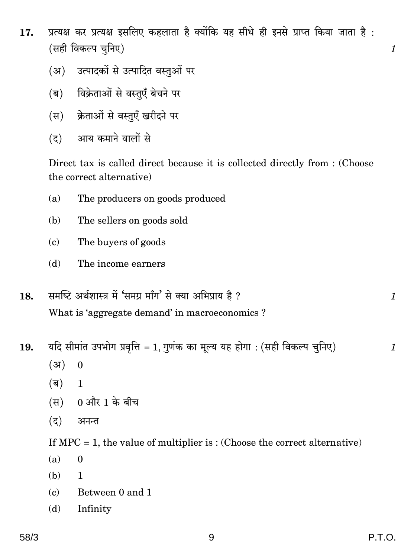- प्रत्यक्ष कर प्रत्यक्ष इसलिए कहलाता है क्योंकि यह सीधे ही इनसे प्राप्त किया जाता है: 17. (सही विकल्प चनिए)
	- (अ) उत्पादकों से उत्पादित वस्तओं पर
	- (ब) विक्रेताओं से वस्तएँ बेचने पर
	- (स) क्रेताओं से वस्तुएँ खरीदने पर
	- आय कमाने वालों से  $(5)$

Direct tax is called direct because it is collected directly from : (Choose the correct alternative)

- $(a)$ The producers on goods produced
- (b) The sellers on goods sold
- The buyers of goods  $(c)$
- $(d)$ The income earners
- समष्टि अर्थशास्त्र में 'समग्र माँग' से क्या अभिप्राय है ? 18. What is 'aggregate demand' in macroeconomics?
- यदि सीमांत उपभोग प्रवृत्ति = 1, गुणंक का मूल्य यह होगा : (सही विकल्प चुनिए) 19.
	- $(3)$  $\mathbf{0}$
	- $(\overline{\mathsf{q}})$  $\mathbf{1}$
	- $(H)$  0 और 1 के बीच
	- $(5)$ अनन्त

If  $MPC = 1$ , the value of multiplier is: (Choose the correct alternative)

- $(a)$  $\bf{0}$
- (b)  $\mathbf{1}$
- $(c)$ Between 0 and 1
- Infinity (d)

 $\mathcal{I}_{\mathcal{L}}$ 

 $\mathcal{I}_{\mathcal{L}}$ 

 $\mathcal{I}_{\mathcal{L}}$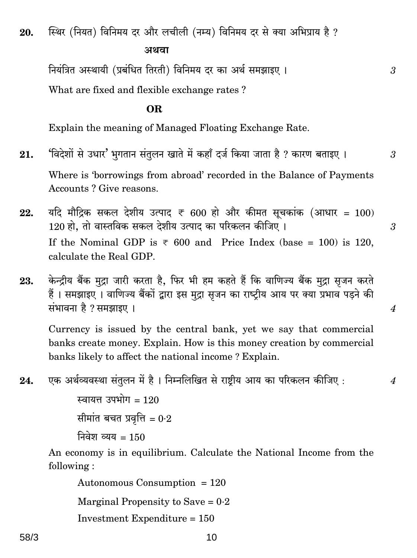स्थिर (नियत) विनिमय दर और लचीली (नम्य) विनिमय दर से क्या अभिप्राय है ? 20.

अथवा

नियंत्रित अस्थायी (प्रबंधित तिरती) विनिमय दर का अर्थ समझाइए ।

What are fixed and flexible exchange rates?

OR.

Explain the meaning of Managed Floating Exchange Rate.

'विदेशों से उधार' भुगतान संतुलन खाते में कहाँ दर्ज किया जाता है ? कारण बताइए । 21. Where is 'borrowings from abroad' recorded in the Balance of Payments Accounts? Give reasons.

3

 $\mathfrak{Z}$ 

 $\overline{4}$ 

 $\boldsymbol{4}$ 

- यदि मौद्रिक सकल देशीय उत्पाद ₹ 600 हो और कीमत सूचकांक (आधार = 100) 22. 120 हो. तो वास्तविक सकल देशीय उत्पाद का परिकलन कीजिए । 3 If the Nominal GDP is  $\overline{\epsilon}$  600 and Price Index (base = 100) is 120. calculate the Real GDP.
- केन्द्रीय बैंक मुद्रा जारी करता है. फिर भी हम कहते हैं कि वाणिज्य बैंक मुद्रा सुजन करते 23. हैं। समझाइए। वाणिज्य बैंकों द्वारा इस मुद्रा सुजन का राष्टीय आय पर क्या प्रभाव पडने की संभावना है ? समझाइए ।

Currency is issued by the central bank, yet we say that commercial banks create money. Explain. How is this money creation by commercial banks likely to affect the national income? Explain.

एक अर्थव्यवस्था संतुलन में है। निम्नलिखित से राष्टीय आय का परिकलन कीजिए : 24.

> स्वायत्त उपभोग $=120$ सीमांत बचत प्रवृत्ति =  $0.2$ निवेश व्यय =  $150$

An economy is in equilibrium. Calculate the National Income from the following:

Autonomous Consumption  $= 120$ 

Marginal Propensity to Save =  $0.2$ 

Investment Expenditure =  $150$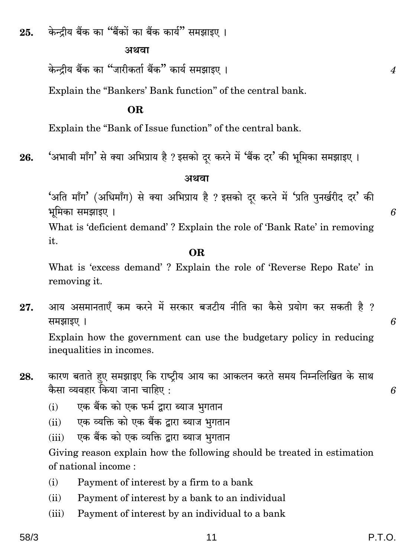केन्द्रीय बैंक का "बैंकों का बैंक कार्य" समझाइए । 25.

#### अथवा

केन्दीय बैंक का "जारीकर्ता बैंक" कार्य समझाइए ।

Explain the "Bankers' Bank function" of the central bank.

#### OR.

Explain the "Bank of Issue function" of the central bank.

'अभावी माँग' से क्या अभिप्राय है ? इसको दूर करने में 'बैंक दर' की भूमिका समझाइए । 26.

#### अथवा

'अति माँग' (अधिमाँग) से क्या अभिप्राय है ? इसको दर करने में 'प्रति पुनर्खरीद दर' की भूमिका समझाइए ।

What is 'deficient demand'? Explain the role of 'Bank Rate' in removing it.

#### OR.

What is 'excess demand'? Explain the role of 'Reverse Repo Rate' in removing it.

आय असमानताएँ कम करने में सरकार बजटीय नीति का कैसे प्रयोग कर सकती है ? 27. समझाइए ।

Explain how the government can use the budgetary policy in reducing inequalities in incomes.

- कारण बताते हुए समझाइए कि राष्ट्रीय आय का आकलन करते समय निम्नलिखित के साथ 28. कैसा व्यवहार किया जाना चाहिए :
	- एक बैंक को एक फर्म द्वारा ब्याज भगतान  $(i)$
	- एक व्यक्ति को एक बैंक द्वारा ब्याज भूगतान  $(ii)$
	- एक बैंक को एक व्यक्ति द्वारा ब्याज भूगतान  $(iii)$

Giving reason explain how the following should be treated in estimation of national income:

- Payment of interest by a firm to a bank  $(i)$
- $(ii)$ Payment of interest by a bank to an individual
- Payment of interest by an individual to a bank  $(iii)$

 $\boldsymbol{4}$ 

6

6